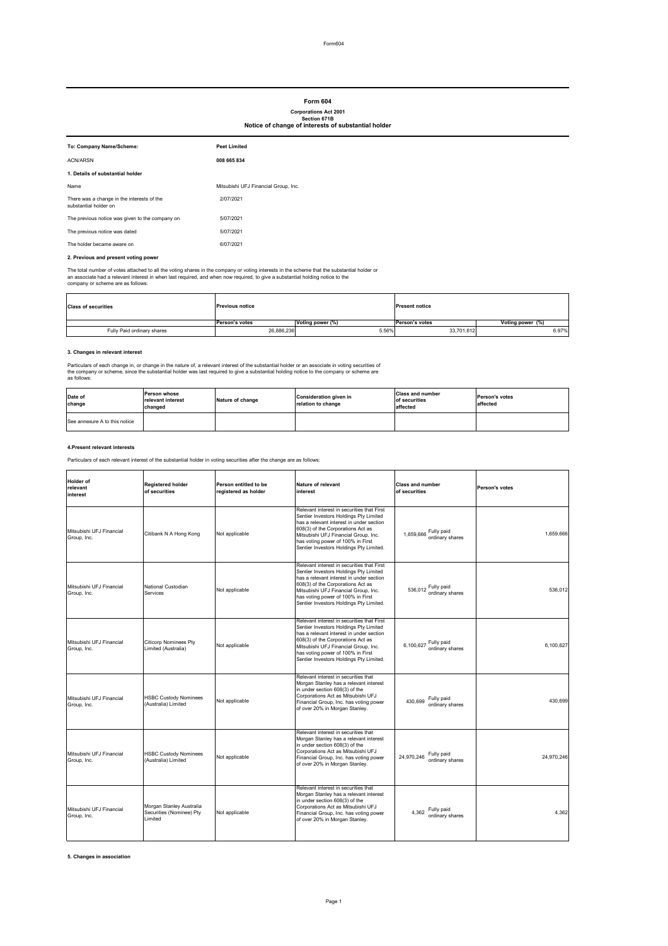# **2. Previous and present voting power**

The total number of votes attached to all the voting shares in the company or voting interests in the scheme that the substantial holder or an associate had a relevant interest in when last required, and when now required, to give a substantial holding notice to the company or scheme are as follows:

# **3. Changes in relevant interest**

Particulars of each change in, or change in the nature of, a relevant interest of the substantial holder or an associate in voting securities of the company or scheme, since the substantial holder was last required to give a substantial holding notice to the company or scheme are as follows:

### **4.Present relevant interests**

Particulars of each relevant interest of the substantial holder in voting securities after the change are as follows:

| To: Company Name/Scheme:                                            | <b>Peet Limited</b>                  |
|---------------------------------------------------------------------|--------------------------------------|
| <b>ACN/ARSN</b>                                                     | 008 665 834                          |
| 1. Details of substantial holder                                    |                                      |
| Name                                                                | Mitsubishi UFJ Financial Group, Inc. |
| There was a change in the interests of the<br>substantial holder on | 2/07/2021                            |
| The previous notice was given to the company on                     | 5/07/2021                            |
| The previous notice was dated                                       | 5/07/2021                            |
| The holder became aware on                                          | 6/07/2021                            |

**5. Changes in association** 

| <b>Class of securities</b> | <b>Previous notice</b> |                  | <b>Present notice</b> |                  |
|----------------------------|------------------------|------------------|-----------------------|------------------|
|                            | <b>Person's votes</b>  | Voting power (%) | <b>Person's votes</b> | Voting power (%) |
| Fully Paid ordinary shares | 26,886,236             | 5.56%            | 33,701,612            | 6.97%            |

| <b>Holder of</b><br>relevant<br>interest | <b>Registered holder</b><br>of securities                       | Person entitled to be<br>registered as holder | Nature of relevant<br>interest                                                                                                                                                                                                                                                                | <b>Class and number</b><br>of securities    | <b>Person's votes</b> |
|------------------------------------------|-----------------------------------------------------------------|-----------------------------------------------|-----------------------------------------------------------------------------------------------------------------------------------------------------------------------------------------------------------------------------------------------------------------------------------------------|---------------------------------------------|-----------------------|
| Mitsubishi UFJ Financial<br>Group, Inc.  | Citibank N A Hong Kong                                          | Not applicable                                | Relevant interest in securities that First<br>Sentier Investors Holdings Pty Limited<br>has a relevant interest in under section<br>608(3) of the Corporations Act as<br>Mitsubishi UFJ Financial Group, Inc.<br>has voting power of 100% in First<br>Sentier Investors Holdings Pty Limited. | 1,659,666 Fully paid<br>ordinary shares     | 1,659,666             |
| Mitsubishi UFJ Financial<br>Group, Inc.  | National Custodian<br>Services                                  | Not applicable                                | Relevant interest in securities that First<br>Sentier Investors Holdings Pty Limited<br>has a relevant interest in under section<br>608(3) of the Corporations Act as<br>Mitsubishi UFJ Financial Group, Inc.<br>has voting power of 100% in First<br>Sentier Investors Holdings Pty Limited. | 536,012 Fully paid<br>ordinary shares       | 536,012               |
| Mitsubishi UFJ Financial<br>Group, Inc.  | <b>Citicorp Nominees Pty</b><br>Limited (Australia)             | Not applicable                                | Relevant interest in securities that First<br>Sentier Investors Holdings Pty Limited<br>has a relevant interest in under section<br>608(3) of the Corporations Act as<br>Mitsubishi UFJ Financial Group, Inc.<br>has voting power of 100% in First<br>Sentier Investors Holdings Pty Limited. | 6,100,627 Fully paid<br>ordinary shares     | 6,100,627             |
| Mitsubishi UFJ Financial<br>Group, Inc.  | <b>HSBC Custody Nominees</b><br>(Australia) Limited             | Not applicable                                | Relevant interest in securities that<br>Morgan Stanley has a relevant interest<br>in under section 608(3) of the<br>Corporations Act as Mitsubishi UFJ<br>Financial Group, Inc. has voting power<br>of over 20% in Morgan Stanley.                                                            | $430,699$ Fully paid<br>ordinary shares     | 430,699               |
| Mitsubishi UFJ Financial<br>Group, Inc.  | <b>HSBC Custody Nominees</b><br>(Australia) Limited             | Not applicable                                | Relevant interest in securities that<br>Morgan Stanley has a relevant interest<br>in under section 608(3) of the<br>Corporations Act as Mitsubishi UFJ<br>Financial Group, Inc. has voting power<br>of over 20% in Morgan Stanley.                                                            | Fully paid<br>24,970,246<br>ordinary shares | 24,970,246            |
| Mitsubishi UFJ Financial<br>Group, Inc.  | Morgan Stanley Australia<br>Securities (Nominee) Pty<br>Limited | Not applicable                                | Relevant interest in securities that<br>Morgan Stanley has a relevant interest<br>in under section 608(3) of the<br>Corporations Act as Mitsubishi UFJ<br>Financial Group, Inc. has voting power<br>of over 20% in Morgan Stanley.                                                            | Fully paid<br>4,362<br>ordinary shares      | 4,362                 |

# **Form 604**

| Date of<br>change             | <b>Person whose</b><br>relevant interest<br>changed | Nature of change | Consideration given in<br>relation to change | <b>Class and number</b><br>of securities<br>affected | <b>Person's votes</b><br>affected |
|-------------------------------|-----------------------------------------------------|------------------|----------------------------------------------|------------------------------------------------------|-----------------------------------|
| See annexure A to this notice |                                                     |                  |                                              |                                                      |                                   |

# **Corporations Act 2001 Section 671B Notice of change of interests of substantial holder**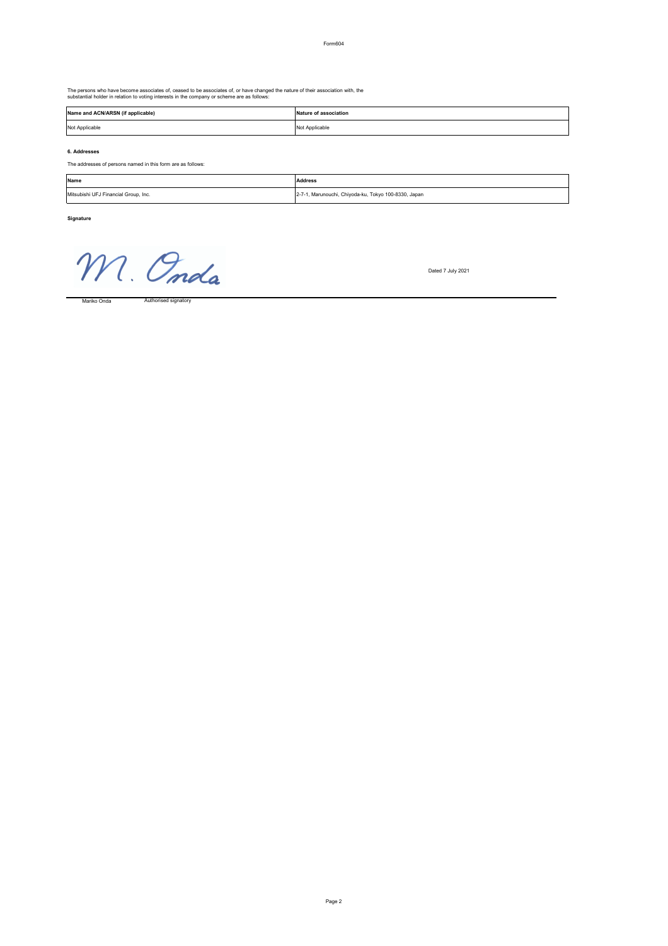Form604

The persons who have become associates of, ceased to be associates of, or have changed the nature of their association with, the substantial holder in relation to voting interests in the company or scheme are as follows:

### **6. Addresses**

The addresses of persons named in this form are as follows:

**Signature**

M. Onda

Dated 7 July 2021

Authorised signatory

| Name                                 | <b>Address</b>                                       |
|--------------------------------------|------------------------------------------------------|
| Mitsubishi UFJ Financial Group, Inc. | 2-7-1, Marunouchi, Chiyoda-ku, Tokyo 100-8330, Japan |

| Name and ACN/ARSN (if applicable) | Nature of association |
|-----------------------------------|-----------------------|
| Not Applicable                    | Not Applicable        |

Mariko Onda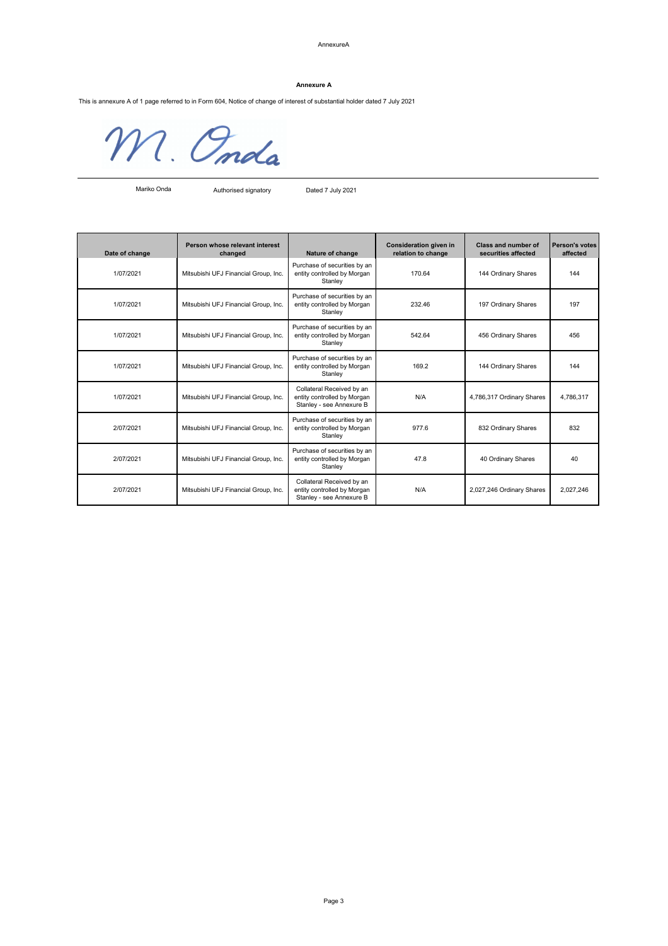#### AnnexureA

This is annexure A of 1 page referred to in Form 604, Notice of change of interest of substantial holder dated 7 July 2021

M. Onda

Authorised signatory Dated 7 July 2021

| Date of change | Person whose relevant interest<br>changed | Nature of change                                                                     | <b>Consideration given in</b><br>relation to change | <b>Class and number of</b><br>securities affected | <b>Person's votes</b><br>affected |
|----------------|-------------------------------------------|--------------------------------------------------------------------------------------|-----------------------------------------------------|---------------------------------------------------|-----------------------------------|
| 1/07/2021      | Mitsubishi UFJ Financial Group, Inc.      | Purchase of securities by an<br>entity controlled by Morgan<br>Stanley               | 170.64                                              | 144 Ordinary Shares                               | 144                               |
| 1/07/2021      | Mitsubishi UFJ Financial Group, Inc.      | Purchase of securities by an<br>entity controlled by Morgan<br>Stanley               | 232.46                                              | 197 Ordinary Shares                               | 197                               |
| 1/07/2021      | Mitsubishi UFJ Financial Group, Inc.      | Purchase of securities by an<br>entity controlled by Morgan<br>Stanley               | 542.64                                              | 456 Ordinary Shares                               | 456                               |
| 1/07/2021      | Mitsubishi UFJ Financial Group, Inc.      | Purchase of securities by an<br>entity controlled by Morgan<br>Stanley               | 169.2                                               | 144 Ordinary Shares                               | 144                               |
| 1/07/2021      | Mitsubishi UFJ Financial Group, Inc.      | Collateral Received by an<br>entity controlled by Morgan<br>Stanley - see Annexure B | N/A                                                 | 4,786,317 Ordinary Shares                         | 4,786,317                         |
| 2/07/2021      | Mitsubishi UFJ Financial Group, Inc.      | Purchase of securities by an<br>entity controlled by Morgan<br>Stanley               | 977.6                                               | 832 Ordinary Shares                               | 832                               |
| 2/07/2021      | Mitsubishi UFJ Financial Group, Inc.      | Purchase of securities by an<br>entity controlled by Morgan<br>Stanley               | 47.8                                                | 40 Ordinary Shares                                | 40                                |
| 2/07/2021      | Mitsubishi UFJ Financial Group, Inc.      | Collateral Received by an<br>entity controlled by Morgan<br>Stanley - see Annexure B | N/A                                                 | 2,027,246 Ordinary Shares                         | 2,027,246                         |

#### **Annexure A**

Mariko Onda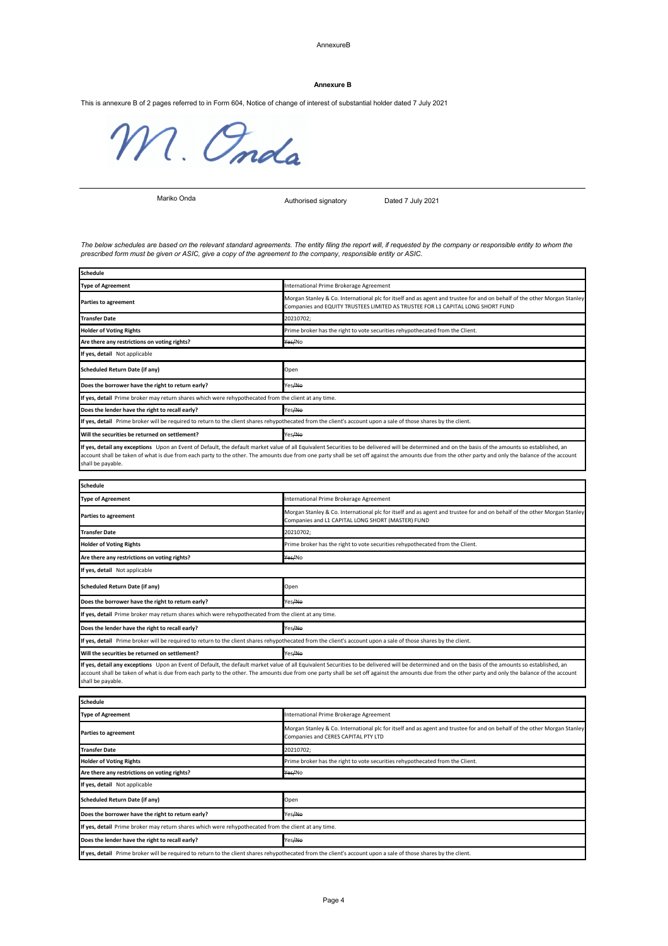#### AnnexureB

This is annexure B of 2 pages referred to in Form 604, Notice of change of interest of substantial holder dated 7 July 2021

M. Onda

Authorised signatory Dated 7 July 2021

If yes, detail any exceptions Upon an Event of Default, the default market value of all Equivalent Securities to be delivered will be determined and on the basis of the amounts so established, an account shall be taken of what is due from each party to the other. The amounts due from one party shall be set off against the amounts due from the other party and only the balance of the account shall be payable.

| <b>Schedule</b>                                                                                                                                                 |                                                                                                                                                                                                                                                                                                                                                                                                             |
|-----------------------------------------------------------------------------------------------------------------------------------------------------------------|-------------------------------------------------------------------------------------------------------------------------------------------------------------------------------------------------------------------------------------------------------------------------------------------------------------------------------------------------------------------------------------------------------------|
| <b>Type of Agreement</b>                                                                                                                                        | International Prime Brokerage Agreement                                                                                                                                                                                                                                                                                                                                                                     |
| <b>Parties to agreement</b>                                                                                                                                     | Morgan Stanley & Co. International plc for itself and as agent and trustee for and on behalf of the other Morgan Stanley<br>Companies and L1 CAPITAL LONG SHORT (MASTER) FUND                                                                                                                                                                                                                               |
| <b>Transfer Date</b>                                                                                                                                            | 20210702;                                                                                                                                                                                                                                                                                                                                                                                                   |
| <b>Holder of Voting Rights</b>                                                                                                                                  | Prime broker has the right to vote securities rehypothecated from the Client.                                                                                                                                                                                                                                                                                                                               |
| Are there any restrictions on voting rights?                                                                                                                    | <del>Yes/</del> No                                                                                                                                                                                                                                                                                                                                                                                          |
| If yes, detail Not applicable                                                                                                                                   |                                                                                                                                                                                                                                                                                                                                                                                                             |
| <b>Scheduled Return Date (if any)</b>                                                                                                                           | Open                                                                                                                                                                                                                                                                                                                                                                                                        |
| Does the borrower have the right to return early?                                                                                                               | Yes <del>/No</del>                                                                                                                                                                                                                                                                                                                                                                                          |
| If yes, detail Prime broker may return shares which were rehypothecated from the client at any time.                                                            |                                                                                                                                                                                                                                                                                                                                                                                                             |
| Does the lender have the right to recall early?                                                                                                                 | Yes <del>/No</del>                                                                                                                                                                                                                                                                                                                                                                                          |
| If yes, detail Prime broker will be required to return to the client shares rehypothecated from the client's account upon a sale of those shares by the client. |                                                                                                                                                                                                                                                                                                                                                                                                             |
| Will the securities be returned on settlement?                                                                                                                  | Yes <del>/No</del>                                                                                                                                                                                                                                                                                                                                                                                          |
| shall be payable.                                                                                                                                               | If yes, detail any exceptions Upon an Event of Default, the default market value of all Equivalent Securities to be delivered will be determined and on the basis of the amounts so established, an<br>account shall be taken of what is due from each party to the other. The amounts due from one party shall be set off against the amounts due from the other party and only the balance of the account |

| <b>Schedule</b>                                                                                      |                                                                                                                                                                                                             |
|------------------------------------------------------------------------------------------------------|-------------------------------------------------------------------------------------------------------------------------------------------------------------------------------------------------------------|
| <b>Type of Agreement</b>                                                                             | International Prime Brokerage Agreement                                                                                                                                                                     |
| <b>Parties to agreement</b>                                                                          | Morgan Stanley & Co. International plc for itself and as agent and trustee for and on behalf of the other Morgan Stanley<br>Companies and EQUITY TRUSTEES LIMITED AS TRUSTEE FOR L1 CAPITAL LONG SHORT FUND |
| <b>Transfer Date</b>                                                                                 | 20210702;                                                                                                                                                                                                   |
| <b>Holder of Voting Rights</b>                                                                       | Prime broker has the right to vote securities rehypothecated from the Client.                                                                                                                               |
| Are there any restrictions on voting rights?                                                         | Yes/No                                                                                                                                                                                                      |
| If yes, detail Not applicable                                                                        |                                                                                                                                                                                                             |
| <b>Scheduled Return Date (if any)</b>                                                                | Open                                                                                                                                                                                                        |
| Does the borrower have the right to return early?                                                    | Yes <del>/No</del>                                                                                                                                                                                          |
| If yes, detail Prime broker may return shares which were rehypothecated from the client at any time. |                                                                                                                                                                                                             |
| Does the lender have the right to recall early?                                                      | Yes/No                                                                                                                                                                                                      |
|                                                                                                      | If yes, detail Prime broker will be required to return to the client shares rehypothecated from the client's account upon a sale of those shares by the client.                                             |
| Will the securities be returned on settlement?                                                       | Yes/No                                                                                                                                                                                                      |
|                                                                                                      | lt ves detail any exceptions. Unon an Event of Default, the default market value of all Equivalent Securities to be delivered will be determined and on the basis of the amounts so established, an         |

| <b>Schedule</b>                                                                                      |                                                                                                                                                                 |  |
|------------------------------------------------------------------------------------------------------|-----------------------------------------------------------------------------------------------------------------------------------------------------------------|--|
| <b>Type of Agreement</b>                                                                             | International Prime Brokerage Agreement                                                                                                                         |  |
| <b>Parties to agreement</b>                                                                          | Morgan Stanley & Co. International plc for itself and as agent and trustee for and on behalf of the other Morgan Stanley<br>Companies and CERES CAPITAL PTY LTD |  |
| <b>Transfer Date</b>                                                                                 | 20210702;                                                                                                                                                       |  |
| <b>Holder of Voting Rights</b>                                                                       | Prime broker has the right to vote securities rehypothecated from the Client.                                                                                   |  |
| Are there any restrictions on voting rights?                                                         | Yes/No                                                                                                                                                          |  |
| If yes, detail Not applicable                                                                        |                                                                                                                                                                 |  |
| <b>Scheduled Return Date (if any)</b>                                                                | Open                                                                                                                                                            |  |
| Does the borrower have the right to return early?                                                    | Yes <del>/No</del>                                                                                                                                              |  |
| If yes, detail Prime broker may return shares which were rehypothecated from the client at any time. |                                                                                                                                                                 |  |
| Does the lender have the right to recall early?                                                      | Yes <del>/No</del>                                                                                                                                              |  |
|                                                                                                      | If yes, detail Prime broker will be required to return to the client shares rehypothecated from the client's account upon a sale of those shares by the client. |  |

#### **Annexure B**

*The below schedules are based on the relevant standard agreements. The entity filing the report will, if requested by the company or responsible entity to whom the prescribed form must be given or ASIC, give a copy of the agreement to the company, responsible entity or ASIC.*

Mariko Onda